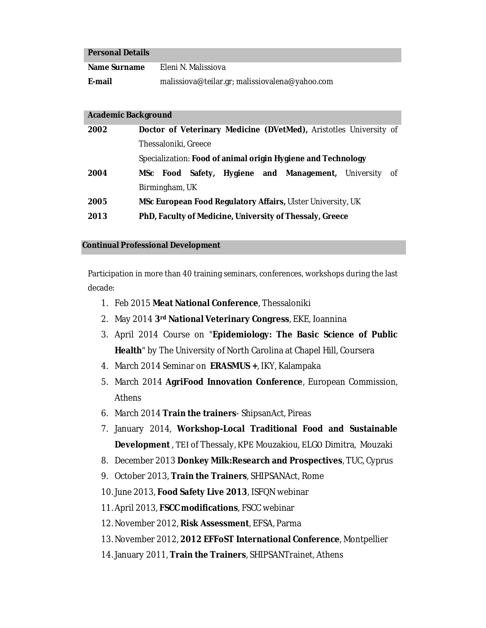#### **Personal Details**

| Name Surname | Eleni N. Malissiova                            |
|--------------|------------------------------------------------|
| E-mail       | malissiova@teilar.gr; malissiovalena@yahoo.com |

#### **Academic Background**

| 2002 |                                                              |          |  |  |  |  |  | Doctor of Veterinary Medicine (DVetMed), Aristotles University of |  |  |  |
|------|--------------------------------------------------------------|----------|--|--|--|--|--|-------------------------------------------------------------------|--|--|--|
|      | Thessaloniki, Greece                                         |          |  |  |  |  |  |                                                                   |  |  |  |
|      | Specialization: Food of animal origin Hygiene and Technology |          |  |  |  |  |  |                                                                   |  |  |  |
| 2004 |                                                              | MSc Food |  |  |  |  |  | Safety, Hygiene and Management, University of                     |  |  |  |
|      | Birmingham, UK                                               |          |  |  |  |  |  |                                                                   |  |  |  |
| 2005 | MSc European Food Regulatory Affairs, Ulster University, UK  |          |  |  |  |  |  |                                                                   |  |  |  |
| 2013 | PhD, Faculty of Medicine, University of Thessaly, Greece     |          |  |  |  |  |  |                                                                   |  |  |  |

#### **Continual Professional Development**

Participation in more than 40 training seminars, conferences, workshops during the last decade:

- 1. Feb 2015 **Meat National Conference**, Thessaloniki
- 2. May 2014 **3rd National Veterinary Congress**, EKE, Ioannina
- 3. April 2014 Course on "**Epidemiology: The Basic Science of Public Health**" by The University of North Carolina at Chapel Hill, Coursera
- 4. March 2014 Seminar on **ERASMUS +**, IKY, Kalampaka
- 5. March 2014 **AgriFood Innovation Conference**, European Commission, Athens
- 6. March 2014 **Train the trainers** ShipsanAct, Pireas
- 7. January 2014, **Workshop-Local Traditional Food and Sustainable Development** , ΤΕΙ of Thessaly, ΚPΕ Mouzakiou, ΕLGΟ Dimitra, Mouzaki
- 8. December 2013 **Donkey Milk:Research and Prospectives**, TUC, Cyprus
- 9. October 2013, **Train the Trainers**, SHIPSANAct, Rome
- 10. June 2013, **Food Safety Live 2013**, ISFQN webinar
- 11. April 2013, **FSCC modifications**, FSCC webinar
- 12. November 2012, **Risk Assessment**, EFSA, Parma
- 13. November 2012, **2012 EFFoST International Conference**, Montpellier
- 14. January 2011, **Train the Trainers**, SHIPSANTrainet, Athens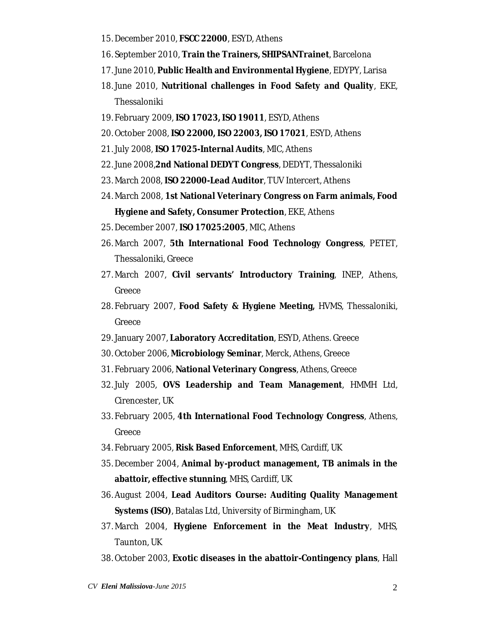- 15. December 2010, **FSCC 22000**, ESYD, Athens
- 16. September 2010, **Train the Trainers, SHIPSANTrainet**, Barcelona
- 17. June 2010, **Public Health and Environmental Hygiene**, EDYPY, Larisa
- 18. June 2010, **Nutritional challenges in Food Safety and Quality**, EKE, Thessaloniki
- 19. February 2009, **ISO 17023, ISO 19011**, ESYD, Athens
- 20. October 2008, **ISO 22000, ISO 22003, ISO 17021**, ESYD, Athens
- 21. July 2008, **ISO 17025-Internal Audits**, MIC, Athens
- 22. June 2008,**2nd National DEDYT Congress**, DEDYT, Thessaloniki
- 23. March 2008, **ISO 22000-Lead Auditor**, TUV Intercert, Athens
- 24. March 2008, **1st National Veterinary Congress on Farm animals, Food Hygiene and Safety, Consumer Protection**, EKE, Athens
- 25. December 2007, **ISO 17025:2005**, MIC, Athens
- 26. March 2007, **5th International Food Technology Congress**, PETET, Thessaloniki, Greece
- 27. March 2007, **Civil servants' Introductory Training**, INEP, Athens, Greece
- 28. February 2007, **Food Safety & Hygiene Meeting,** HVMS, Thessaloniki, Greece
- 29. January 2007, **Laboratory Accreditation**, ESYD, Athens. Greece
- 30. October 2006, **Microbiology Seminar**, Merck, Athens, Greece
- 31. February 2006, **National Veterinary Congress**, Athens, Greece
- 32. July 2005, **OVS Leadership and Team Management**, HMMH Ltd, Cirencester, UK
- 33. February 2005, **4th International Food Technology Congress**, Athens, Greece
- 34. February 2005, **Risk Based Enforcement**, MHS, Cardiff, UK
- 35. December 2004, **Animal by-product management, TB animals in the abattoir, effective stunning**, MHS, Cardiff, UK
- 36. August 2004, **Lead Auditors Course: Auditing Quality Management Systems (ISO)**, Batalas Ltd, University of Birmingham, UK
- 37. March 2004, **Hygiene Enforcement in the Meat Industry**, MHS, Taunton, UK
- 38. October 2003, **Exotic diseases in the abattoir-Contingency plans**, Hall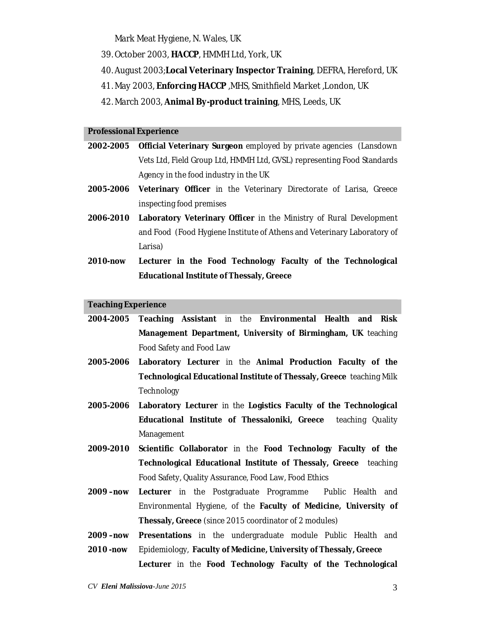Mark Meat Hygiene, N. Wales, UK

- 39. October 2003, **HACCP**, HMMH Ltd, York, UK
- 40. August 2003;**Local Veterinary Inspector Training**, DEFRA, Hereford, UK
- 41. May 2003, **Enforcing HACCP** ,MHS, Smithfield Market ,London, UK
- 42. March 2003, **Animal By-product training**, MHS, Leeds, UK

#### **Professional Experience**

- **2002-2005 Official Veterinary Surgeon** employed by private agencies (Lansdown Vets Ltd, Field Group Ltd, HMMH Ltd, GVSL) representing Food Standards Agency in the food industry in the UK
- **2005-2006 Veterinary Officer** in the Veterinary Directorate of Larisa, Greece inspecting food premises
- **2006-2010 Laboratory Veterinary Officer** in the Ministry of Rural Development and Food (Food Hygiene Institute of Athens and Veterinary Laboratory of Larisa)
- **2010-now Lecturer in the Food Technology Faculty of the Technological Educational Institute of Thessaly, Greece**

#### **Teaching Experience**

**2004-2005 Teaching Assistant** in the **Environmental Health and Risk Management Department, University of Birmingham, UK** teaching Food Safety and Food Law

- **2005-2006 Laboratory Lecturer** in the **Animal Production Faculty of the Technological Educational Institute of Thessaly, Greece** teaching Milk **Technology**
- **2005-2006 Laboratory Lecturer** in the **Logistics Faculty of the Technological Educational Institute of Thessaloniki, Greece** teaching Quality Management
- **2009-2010 Scientific Collaborator** in the **Food Technology Faculty of the Technological Educational Institute of Thessaly, Greece** teaching Food Safety, Quality Assurance, Food Law, Food Ethics
- **2009 –now Lecturer** in the Postgraduate Programme Public Health and Environmental Hygiene, of the **Faculty of Medicine, University of Thessaly, Greece** (since 2015 coordinator of 2 modules)
- **2009 –now Presentations** in the undergraduate module Public Health and
- **2010 -now** Epidemiology, **Faculty of Medicine, University of Thessaly, Greece Lecturer** in the **Food Technology Faculty of the Technological**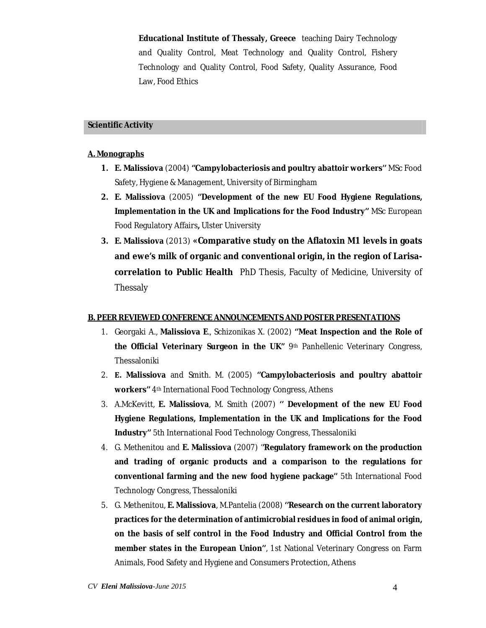**Educational Institute of Thessaly, Greece** teaching Dairy Technology and Quality Control, Meat Technology and Quality Control, Fishery Technology and Quality Control, Food Safety, Quality Assurance, Food Law, Food Ethics

#### **Scientific Activity**

#### **A. Monographs**

- **1. E. Malissiova** (2004) **''Campylobacteriosis and poultry abattoir workers''** MSc Food Safety, Hygiene & Management, University of Birmingham
- **2. E. Malissiova** (2005) **''Development of the new EU Food Hygiene Regulations, Implementation in the UK and Implications for the Food Industry''** MSc European Food Regulatory Affairs**,** Ulster University
- **3. E. Malissiova** (2013) **«Comparative study on the Aflatoxin M1 levels in goats and ewe's milk of organic and conventional origin, in the region of Larisacorrelation to Public Health** PhD Thesis, Faculty of Medicine, University of Thessaly

#### **B. PEER REVIEWED CONFERENCE ANNOUNCEMENTS AND POSTER PRESENTATIONS**

- 1. Georgaki A., **Malissiova E**., Schizonikas X. (2002) **''Meat Inspection and the Role of the Official Veterinary Surgeon in the UK''** 9th Panhellenic Veterinary Congress, Thessaloniki
- 2. **Ε. Malissiova** and Smith. M. (2005) **''Campylobacteriosis and poultry abattoir workers''** 4th International Food Technology Congress, Athens
- 3. A.McKevitt, **E. Malissiova**, M. Smith (2007) **'' Development of the new EU Food Hygiene Regulations, Implementation in the UK and Implications for the Food Industry''** 5th International Food Technology Congress, Thessaloniki
- 4. G. Methenitou and **E. Malissiova** (2007) '**'Regulatory framework on the production and trading of organic products and a comparison to the regulations for conventional farming and the new food hygiene package''** 5th International Food Technology Congress, Thessaloniki
- 5. G. Methenitou, **E. Malissiova**, M.Pantelia (2008) **''Research on the current laboratory practices for the determination of antimicrobial residues in food of animal origin, on the basis of self control in the Food Industry and Official Control from the member states in the European Union''**, 1st National Veterinary Congress on Farm Animals, Food Safety and Hygiene and Consumers Protection, Athens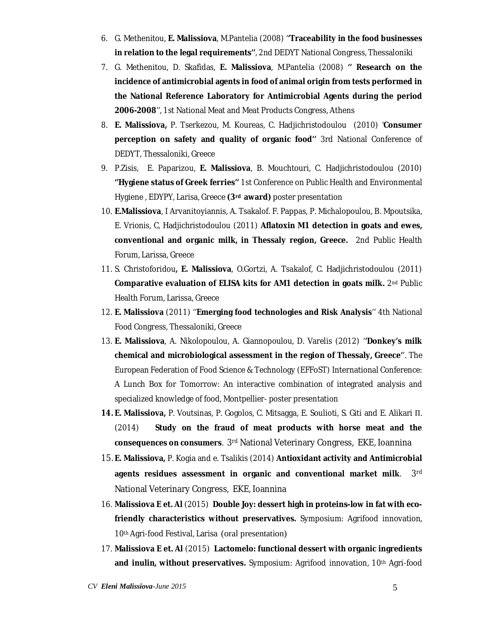- 6. G. Methenitou, **E. Malissiova**, M.Pantelia (2008) '**'Traceability in the food businesses in relation to the legal requirements''**, 2nd DEDYT National Congress, Thessaloniki
- 7. G. Methenitou, D. Skafidas, **E. Malissiova**, M.Pantelia (2008) **'' Research on the incidence of antimicrobial agents in food of animal origin from tests performed in the National Reference Laboratory for Antimicrobial Agents during the period 2006-2008**'', 1st National Meat and Meat Products Congress, Athens
- 8. **E. Malissiova,** P. Tserkezou, M. Koureas, C. Hadjichristodoulou (2010) '**Consumer perception on safety and quality of organic food''** 3rd National Conference of DEDYT, Thessaloniki, Greece
- 9. P.Zisis, E. Paparizou, **E. Malissiova**, B. Mouchtouri, C. Hadjichristodoulou (2010) **''Hygiene status of Greek ferries''** 1st Conference on Public Health and Environmental Hygiene , EDYPY, Larisa, Greece **(3rd award)** poster presentation
- 10. **E.Malissiova**, I Arvanitoyiannis, A. Tsakalof. F. Pappas, P. Michalopoulou, B. Mpoutsika, E. Vrionis, C, Hadjichristodoulou (2011) **Aflatoxin M1 detection in goats and ewes, conventional and organic milk, in Thessaly region, Greece.** 2nd Public Health Forum, Larissa, Greece
- 11. S. Christoforidou**, E. Malissiova**, O.Gortzi, A. Tsakalof, C. Hadjichristodoulou (2011) **Comparative evaluation of ELISA kits for AM1 detection in goats milk.** 2nd Public Health Forum, Larissa, Greece
- 12. **E. Malissiova** (2011) ''**Emerging food technologies and Risk Analysis**'' 4th National Food Congress, Thessaloniki, Greece
- 13. **E. Malissiova**, A. Nikolopoulou, A. Giannopoulou, D. Varelis (2012) '**'Donkey's milk chemical and microbiological assessment in the region of Thessaly, Greece'**'. The European Federation of Food Science & Technology (EFFoST) International Conference: A Lunch Box for Tomorrow: An interactive combination of integrated analysis and specialized knowledge of food, Montpellier- poster presentation
- **14. E. Malissiova,** P. Voutsinas, P. Gogolos, C. Mitsagga, E. Soulioti, S. Giti and E. Alikari Π. (2014) **Study on the fraud of meat products with horse meat and the consequences on consumers**. 3rd National Veterinary Congress, EKE, Ioannina
- 15. **E. Malissiova,** P. Kogia and e. Tsalikis (2014) **Antioxidant activity and Antimicrobial agents residues assessment in organic and conventional market milk**. 3rd National Veterinary Congress, EKE, Ioannina
- 16. **Malissiova E et. Al** (2015) **Double Joy: dessert high in proteins-low in fat with ecofriendly characteristics without preservatives.** Symposium: Agrifood innovation, 10th Agri-food Festival, Larisa (oral presentation)
- 17. **Malissiova E et. Al** (2015) **Lactomelo: functional dessert with organic ingredients and inulin, without preservatives.** Symposium: Agrifood innovation, 10th Agri-food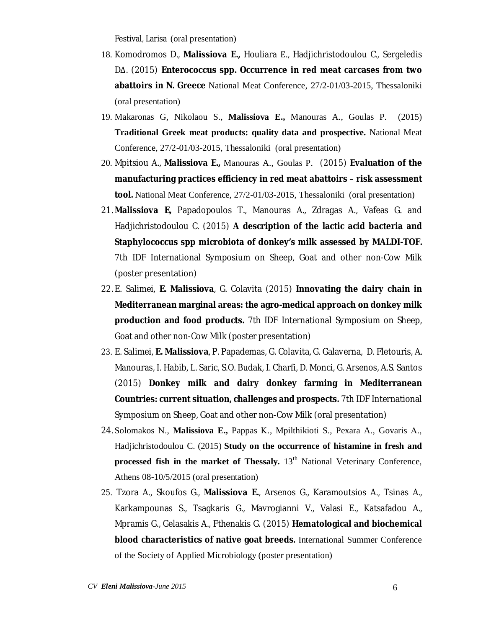Festival, Larisa (oral presentation)

- 18. Komodromos D., **Malissiova E.,** Houliara Ε., Hadjichristodoulou C., Sergeledis DΔ. (2015) **Enterococcus spp. Occurrence in red meat carcases from two abattoirs in N. Greece** National Meat Conference, 27/2-01/03-2015, Thessaloniki (oral presentation)
- 19. Makaronas G, Nikolaou S., **Malissiova E.,** Manouras A., Goulas P. (2015) **Traditional Greek meat products: quality data and prospective.** National Meat Conference, 27/2-01/03-2015, Thessaloniki (oral presentation)
- 20. Mpitsiou A., **Malissiova E.,** Manouras A., Goulas P. (2015) **Evaluation of the manufacturing practices efficiency in red meat abattoirs – risk assessment tool.** National Meat Conference, 27/2-01/03-2015, Thessaloniki (oral presentation)
- 21. **Malissiova E,** Papadopoulos T., Manouras A., Zdragas A., Vafeas G. and Hadjichristodoulou C. (2015) **A description of the lactic acid bacteria and Staphylococcus spp microbiota of donkey's milk assessed by MALDI-TOF.** 7th IDF International Symposium on Sheep, Goat and other non-Cow Milk (poster presentation)
- 22. E. Salimei, **E. Malissiova**, G. Colavita (2015) **Innovating the dairy chain in Mediterranean marginal areas: the agro-medical approach on donkey milk production and food products.** 7th IDF International Symposium on Sheep, Goat and other non-Cow Milk (poster presentation)
- 23. E. Salimei, **E. Malissiova**, P. Papademas, G. Colavita, G. Galaverna, D. Fletouris, A. Manouras, I. Habib, L. Saric, S.O. Budak, I. Charfi, D. Monci, G. Arsenos, A.S. Santos (2015) **Donkey milk and dairy donkey farming in Mediterranean Countries: current situation, challenges and prospects.** 7th IDF International Symposium on Sheep, Goat and other non-Cow Milk (oral presentation)
- 24. Solomakos Ν., **Malissiova E.,** Pappas Κ., Mpilthikioti S., Pexara A., Govaris Α., Hadjichristodoulou C. (2015) **Study on the occurrence of histamine in fresh and processed fish in the market of Thessaly.** 13<sup>th</sup> National Veterinary Conference, Athens 08-10/5/2015 (oral presentation)
- 25. Tzora A., Skoufos G., **Malissiova E.**, Arsenos G., Karamoutsios A., Tsinas A., Karkampounas S., Tsagkaris G., Mavrogianni V., Valasi E., Katsafadou A., Mpramis G., Gelasakis A., Fthenakis G. (2015) **Hematological and biochemical blood characteristics of native goat breeds.** International Summer Conference of the Society of Applied Microbiology (poster presentation)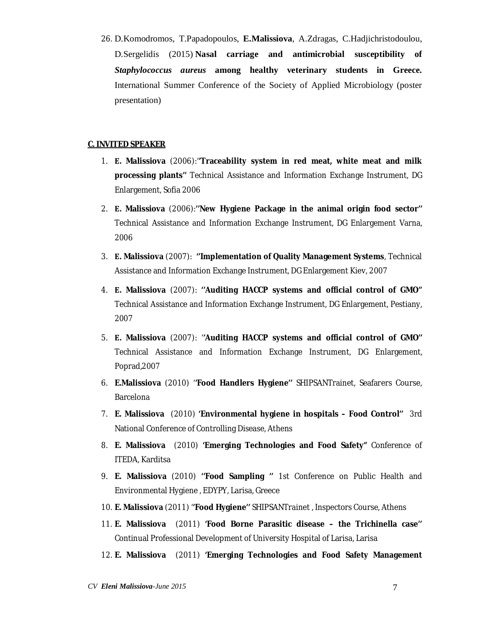26. D.Komodromos, T.Papadopoulos, **E.Malissiova**, A.Zdragas, C.Hadjichristodoulou, D.Sergelidis (2015) **Nasal carriage and antimicrobial susceptibility of**  *Staphylococcus aureus* **among healthy veterinary students in Greece.** International Summer Conference of the Society of Applied Microbiology (poster presentation)

### **C. INVITED SPEAKER**

- 1. **Ε. Malissiova** (2006):'**'Traceability system in red meat, white meat and milk processing plants''** Technical Assistance and Information Exchange Instrument, DG Enlargement, Sofia 2006
- 2. **Ε. Malissiova** (2006):**''New Hygiene Package in the animal origin food sector''** Technical Assistance and Information Exchange Instrument, DG Enlargement Varna, 2006
- 3. **Ε. Malissiova** (2007): **''Implementation of Quality Management Systems**, Technical Assistance and Information Exchange Instrument, DG Enlargement Kiev, 2007
- 4. **Ε. Malissiova** (2007): **''Auditing HACCP systems and official control of GMO''** Technical Assistance and Information Exchange Instrument, DG Enlargement, Pestiany, 2007
- 5. **Ε. Malissiova** (2007): '**'Auditing HACCP systems and official control of GMO''**  Technical Assistance and Information Exchange Instrument, DG Enlargement, Poprad,2007
- 6. **E.Malissiova** (2010) '**'Food Handlers Hygiene''** SHIPSANTrainet, Seafarers Course, Barcelona
- 7. **E. Malissiova** (2010) **'Environmental hygiene in hospitals – Food Control''** 3rd National Conference of Controlling Disease, Athens
- 8. **E. Malissiova** (2010) **'Emerging Technologies and Food Safety"** Conference of ITEDA, Karditsa
- 9. **E. Malissiova** (2010) **''Food Sampling ''** 1st Conference on Public Health and Environmental Hygiene , EDYPY, Larisa, Greece
- 10. **E. Malissiova** (2011) '**'Food Hygiene''** SHIPSANTrainet , Inspectors Course, Athens
- 11. **E. Malissiova** (2011) **'Food Borne Parasitic disease – the Trichinella case''**  Continual Professional Development of University Hospital of Larisa, Larisa
- 12. **E. Malissiova** (2011) **'Emerging Technologies and Food Safety Management**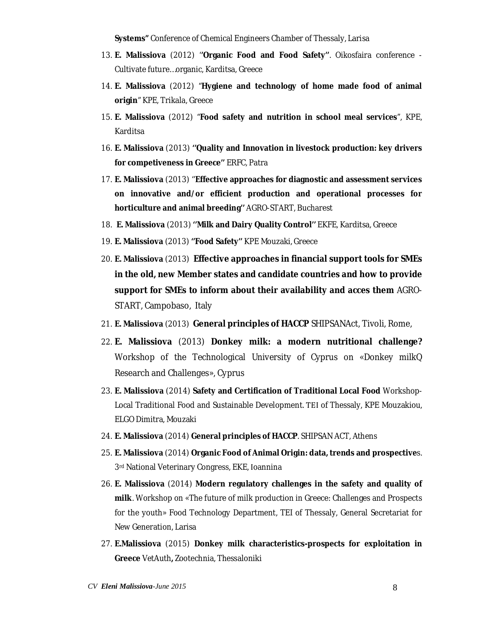**Systems"** Conference of Chemical Engineers Chamber of Thessaly, Larisa

- 13. **E. Malissiova** (2012) '**'Organic Food and Food Safety''**. Oikosfaira conference Cultivate future…organic, Karditsa, Greece
- 14. **E. Malissiova** (2012) "**Hygiene and technology of home made food of animal origin**" KPE, Trikala, Greece
- 15. **E. Malissiova** (2012) "**Food safety and nutrition in school meal services**", KPE, Karditsa
- 16. **E. Malissiova** (2013) **''Quality and Innovation in livestock production: key drivers for competiveness in Greece''** ERFC, Patra
- 17. **E. Malissiova** (2013) ''**Effective approaches for diagnostic and assessment services on innovative and/or efficient production and operational processes for horticulture and animal breeding''** AGRO-START, Bucharest
- 18. **E. Malissiova** (2013) **''Milk and Dairy Quality Control''** EKFE, Karditsa, Greece
- 19. **E. Malissiova** (2013) **''Food Safety''** KPE Mouzaki, Greece
- 20. **E. Malissiova** (2013) **Effective approaches in financial support tools for SMEs in the old, new Member states and candidate countries and how to provide support for SMEs to inform about their availability and acces them** AGRO-START, Campobaso, Italy
- 21. **E. Malissiova** (2013) **General principles of HACCP** SHIPSANAct, Tivoli, Rome,
- 22. **E. Malissiova** (2013) **Donkey milk: a modern nutritional challenge?**  Workshop of the Technological University of Cyprus on «Donkey milkQ Research and Challenges», Cyprus
- 23. **E. Malissiova** (2014) **Safety and Certification of Traditional Local Food** Workshop-Local Traditional Food and Sustainable Development. ΤΕΙ of Thessaly, KPE Mouzakiou, ELGO Dimitra, Mouzaki
- 24. **E. Malissiova** (2014) **General principles of HACCP**. SHIPSAN ACT, Athens
- 25. **E. Malissiova** (2014) **Organic Food of Animal Origin: data, trends and prospective**s. 3rd National Veterinary Congress, EKE, Ιoannina
- 26. **E. Malissiova** (2014) **Modern regulatory challenges in the safety and quality of milk**. Workshop on «The future of milk production in Greece: Challenges and Prospects for the youth» Food Technology Department, TEI of Thessaly, General Secretariat for New Generation, Larisa
- 27. **E.Malissiova** (2015) **Donkey milk characteristics-prospects for exploitation in Greece** VetAuth**,** Zootechnia, Thessaloniki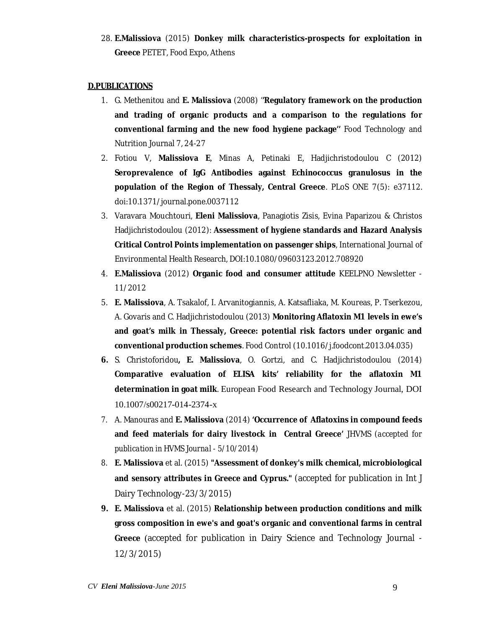28. **E.Malissiova** (2015) **Donkey milk characteristics-prospects for exploitation in Greece** PETET, Food Expo, Athens

### **D.PUBLICATIONS**

- 1. G. Methenitou and **E. Malissiova** (2008) '**'Regulatory framework on the production and trading of organic products and a comparison to the regulations for conventional farming and the new food hygiene package''** Food Technology and Nutrition Journal 7, 24-27
- 2. Fotiou V, **Malissiova E**, Minas A, Petinaki E, Hadjichristodoulou C (2012) **Seroprevalence of IgG Antibodies against Echinococcus granulosus in the population of the Region of Thessaly, Central Greece**. PLoS ONE 7(5): e37112. doi:10.1371/journal.pone.0037112
- 3. Varavara Mouchtouri, **Eleni Malissiova**, Panagiotis Zisis, Evina Paparizou & Christos Hadjichristodoulou (2012): **Assessment of hygiene standards and Hazard Analysis Critical Control Points implementation on passenger ships**, International Journal of Environmental Health Research, DOI:10.1080/09603123.2012.708920
- 4. **E.Malissiova** (2012) **Organic food and consumer attitude** KEELPNO Newsletter 11/2012
- 5. **E. Malissiova**, A. Tsakalof, I. Arvanitogiannis, A. Katsafliaka, M. Koureas, P. Tserkezou, A. Govaris and C. Hadjichristodoulou (2013) **Monitoring Aflatoxin M1 levels in ewe's and goat's milk in Thessaly, Greece: potential risk factors under organic and conventional production schemes**. Food Control (10.1016/j.foodcont.2013.04.035)
- **6.** S. Christoforidou**, E. Malissiova**, O. Gortzi, and C. Hadjichristodoulou (2014) **Comparative evaluation of ELISA kits' reliability for the aflatoxin M1 determination in goat milk**. European Food Research and Technology Journal, DOI 10.1007/s00217-014-2374-x
- *7.* A. Manouras and **E. Malissiova** (2014) **'Occurrence of Aflatoxins in compound feeds and feed materials for dairy livestock in Central Greece'** JHVMS *(accepted for publication in HVMS Journal - 5/10/2014)*
- *8.* **E. Malissiova** et al. (2015) **"Assessment of donkey's milk chemical, microbiological and sensory attributes in Greece and Cyprus."** (accepted for publication in Int J Dairy Technology-23/3/2015)
- **9. E. Malissiova** et al. (2015) **Relationship between production conditions and milk gross composition in ewe's and goat's organic and conventional farms in central Greece** (accepted for publication in Dairy Science and Technology Journal - 12/3/2015)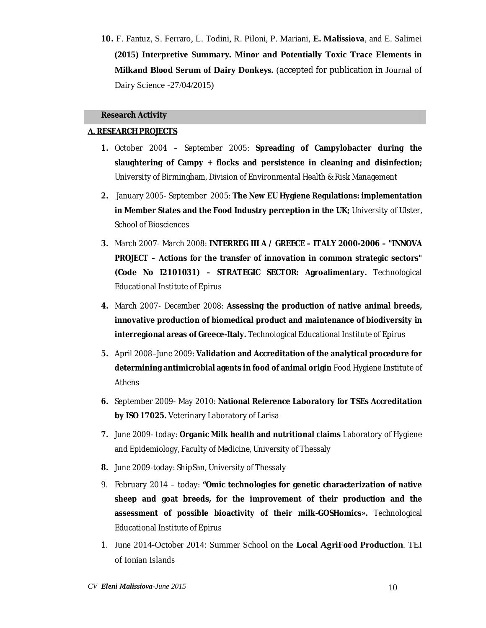**10.** F. Fantuz, S. Ferraro, L. Todini, R. Piloni, P. Mariani, **E. Malissiova**, and E. Salimei **(2015) Interpretive Summary. Minor and Potentially Toxic Trace Elements in Milkand Blood Serum of Dairy Donkeys.** (accepted for publication in Journal of Dairy Science -27/04/2015)

#### **Research Activity**

### **Α. RESEARCH PROJECTS**

- **1.** October 2004 September 2005: **Spreading of Campylobacter during the slaughtering of Campy + flocks and persistence in cleaning and disinfection;**  University of Birmingham, Division of Environmental Health & Risk Management
- **2.** January 2005- September 2005: **The New EU Hygiene Regulations: implementation in Member States and the Food Industry perception in the UK;** University of Ulster, School of Biosciences
- **3.** March 2007- March 2008: **INTERREG III A / GREECE – ITALY 2000-2006 – "INNOVA PROJECT – Actions for the transfer of innovation in common strategic sectors" (Code No I2101031) – STRATEGIC SECTOR: Agroalimentary.** Technological Educational Institute of Epirus
- **4.** March 2007- December 2008: **Assessing the production of native animal breeds, innovative production of biomedical product and maintenance of biodiversity in interregional areas of Greece-Italy.** Technological Educational Institute of Epirus
- **5.** April 2008–June 2009: **Validation and Accreditation of the analytical procedure for determining antimicrobial agents in food of animal origin** Food Hygiene Institute of Athens
- **6.** September 2009- May 2010: **National Reference Laboratory for TSEs Accreditation by ISO 17025.** Veterinary Laboratory of Larisa
- **7.** June 2009- today: **Organic Milk health and nutritional claims** Laboratory of Hygiene and Epidemiology, Faculty of Medicine, University of Thessaly
- **8.** June 2009-today: ShipSan, University of Thessaly
- 9. February 2014 today: **"Omic technologies for genetic characterization of native sheep and goat breeds, for the improvement of their production and the assessment of possible bioactivity of their milk-GOSHomics».** Technological Educational Institute of Epirus
- 1. June 2014-October 2014: Summer School on the **Local AgriFood Production**. TEI of Ionian Islands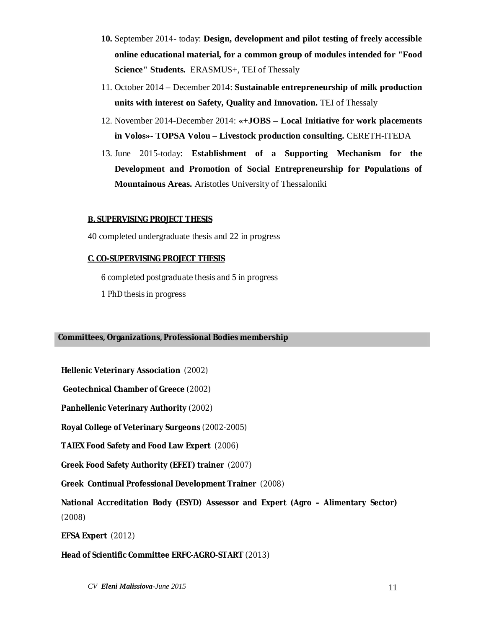- **10.** September 2014- today: **Design, development and pilot testing of freely accessible online educational material, for a common group of modules intended for "Food Science" Students.** ERASMUS+, TEI of Thessaly
- 11. October 2014 December 2014: **Sustainable entrepreneurship of milk production units with interest on Safety, Quality and Innovation.** TEI of Thessaly
- 12. November 2014-December 2014: **«+JOBS – Local Initiative for work placements in Volos»- TOPSA Volou – Livestock production consulting.** CERETH-ITEDA
- 13. June 2015-today: **Establishment of a Supporting Mechanism for the Development and Promotion of Social Entrepreneurship for Populations of Mountainous Areas.** Aristotles University of Thessaloniki

### **Β. SUPERVISING PROJECT THESIS**

40 completed undergraduate thesis and 22 in progress

### **C. CO-SUPERVISING PROJECT THESIS**

6 completed postgraduate thesis and 5 in progress

1 PhD thesis in progress

# **Committees, Organizations, Professional Bodies membership**

**Hellenic Veterinary Association** (2002)

**Geotechnical Chamber of Greece** (2002)

**Panhellenic Veterinary Authority** (2002)

**Royal College of Veterinary Surgeons** (2002-2005)

**TAIEX Food Safety and Food Law Expert** (2006)

**Greek Food Safety Authority (EFET) trainer** (2007)

**Greek Continual Professional Development Trainer** (2008)

**National Accreditation Body (ESYD) Assessor and Expert (Agro – Alimentary Sector)**  (2008)

**EFSA Expert** (2012)

### **Head of Scientific Committee ERFC-AGRO-START** (2013)

*CV Eleni Malissiova-June 2015* 11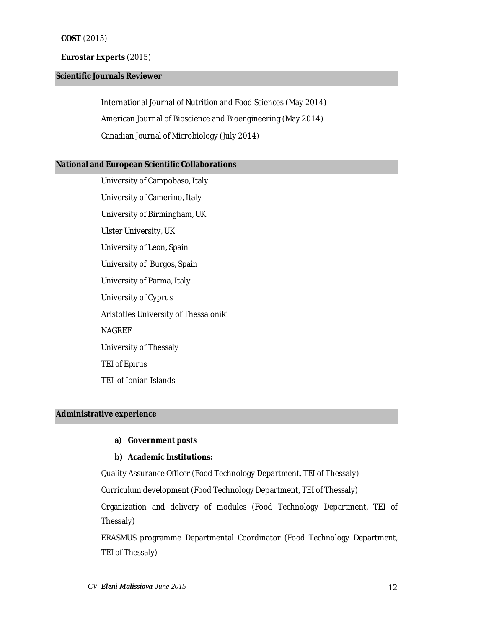#### **COST** (2015)

### **Eurostar Experts** (2015)

### **Scientific Journals Reviewer**

International Journal of Nutrition and Food Sciences (May 2014) American Journal of Bioscience and Bioengineering (May 2014) Canadian Journal of Microbiology (July 2014)

#### **National and European Scientific Collaborations**

University of Campobaso, Italy University of Camerino, Italy University of Birmingham, UK Ulster University, UK University of Leon, Spain University of Burgos, Spain University of Parma, Italy University of Cyprus Aristotles University of Thessaloniki NAGREF University of Thessaly TEI of Epirus TEI of Ionian Islands

# **Administrative experience**

## **a) Government posts**

### **b) Academic Institutions:**

Quality Assurance Officer (Food Technology Department, TEI of Thessaly) Curriculum development (Food Technology Department, TEI of Thessaly) Organization and delivery of modules (Food Technology Department, TEI of Thessaly)

ERASMUS programme Departmental Coordinator (Food Technology Department, TEI of Thessaly)